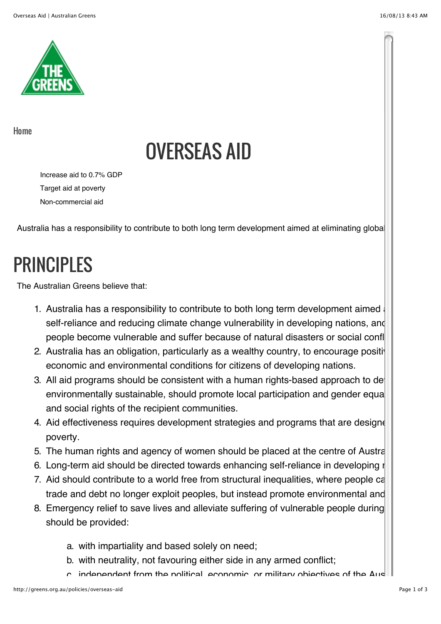

[Home](http://greens.org.au/)

# OVERSEAS AID

Increase aid to 0.7% GDP Target aid at poverty Non-commercial aid

Australia has a responsibility to contribute to both long term development aimed at eliminating global

## PRINCIPLES

The Australian Greens believe that:

- 1. Australia has a responsibility to contribute to both long term development aimed self-reliance and reducing climate change vulnerability in developing nations, and people become vulnerable and suffer because of natural disasters or social confl
- 2. Australia has an obligation, particularly as a wealthy country, to encourage positive economic and environmental conditions for citizens of developing nations.
- 3. All aid programs should be consistent with a human rights-based approach to de environmentally sustainable, should promote local participation and gender equal and social rights of the recipient communities.
- 4. Aid effectiveness requires development strategies and programs that are designed poverty.
- 5. The human rights and agency of women should be placed at the centre of Austral
- 6. Long-term aid should be directed towards enhancing self-reliance in developing r
- 7. Aid should contribute to a world free from structural inequalities, where people ca trade and debt no longer exploit peoples, but instead promote environmental and
- 8. Emergency relief to save lives and alleviate suffering of vulnerable people during should be provided:
	- a. with impartiality and based solely on need;
	- b. with neutrality, not favouring either side in any armed conflict;
	- $c$  independent from the political, economic, or military objectives of the Australian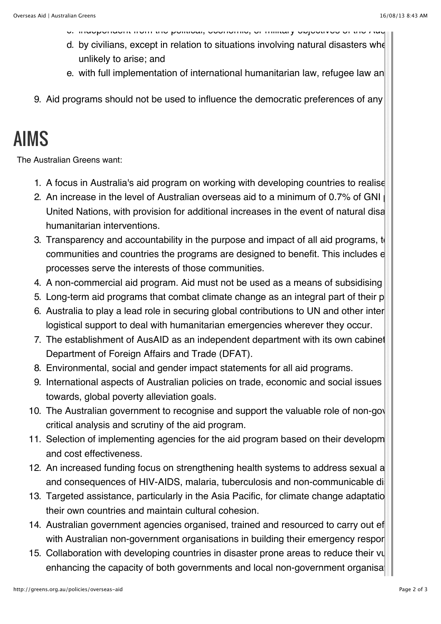- c. independent from the political, economic, or military objectives of the Australian government in the area concerned;
- d. by civilians, except in relation to situations involving natural disasters whe unlikely to arise; and
- e. with full implementation of international humanitarian law, refugee law an
- 9. Aid programs should not be used to influence the democratic preferences of any

### AIMS

The Australian Greens want:

- 1. A focus in Australia's aid program on working with developing countries to realise
- 2. An increase in the level of Australian overseas aid to a minimum of 0.7% of GNI United Nations, with provision for additional increases in the event of natural disa humanitarian interventions.
- 3. Transparency and accountability in the purpose and impact of all aid programs, to communities and countries the programs are designed to benefit. This includes e processes serve the interests of those communities.
- 4. A non-commercial aid program. Aid must not be used as a means of subsidising
- 5. Long-term aid programs that combat climate change as an integral part of their p
- 6. Australia to play a lead role in securing global contributions to UN and other inter logistical support to deal with humanitarian emergencies wherever they occur.
- 7. The establishment of AusAID as an independent department with its own cabinet Department of Foreign Affairs and Trade (DFAT).
- 8. Environmental, social and gender impact statements for all aid programs.
- 9. International aspects of Australian policies on trade, economic and social issues towards, global poverty alleviation goals.
- 10. The Australian government to recognise and support the valuable role of non-government and organisations in critical analysis and scrutiny of the aid program.
- 11. Selection of implementing agencies for the aid program based on their developm and cost effectiveness.
- 12. An increased funding focus on strengthening health systems to address sexual a and consequences of HIV-AIDS, malaria, tuberculosis and non-communicable di
- 13. Targeted assistance, particularly in the Asia Pacific, for climate change adaptatio their own countries and maintain cultural cohesion.
- 14. Australian government agencies organised, trained and resourced to carry out ef with Australian non-government organisations in building their emergency respor
- 15. Collaboration with developing countries in disaster prone areas to reduce their vul enhancing the capacity of both governments and local non-government organisations.